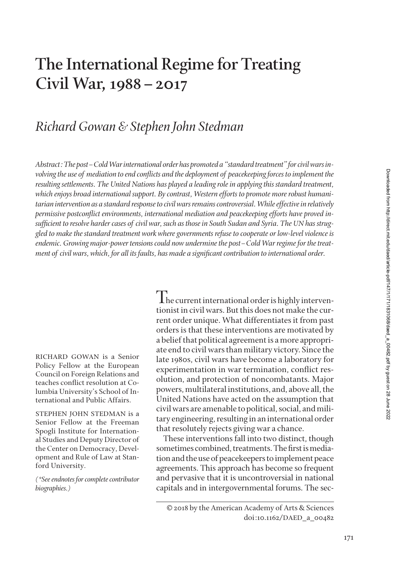## **The International Regime for Treating Civil War, 1988–2017**

## *Richard Gowan & Stephen John Stedman*

*Abstract: The post–Cold War international order has promoted a "standard treatment" for civil wars involving the use of mediation to end conflicts and the deployment of peacekeeping forces to implement the resulting settlements. The United Nations has played a leading role in applying this standard treatment, which enjoys broad international support. By contrast, Western efforts to promote more robust humanitarian intervention as a standard response to civil wars remains controversial. While effective in relatively permissive postconflict environments, international mediation and peacekeeping efforts have proved insufficient to resolve harder cases of civil war, such as those in South Sudan and Syria. The UN has struggled to make the standard treatment work where governments refuse to cooperate or low-level violence is endemic. Growing major-power tensions could now undermine the post–Cold War regime for the treatment of civil wars, which, for all its faults, has made a significant contribution to international order.* 

RICHARD GOWAN is a Senior Policy Fellow at the European Council on Foreign Relations and teaches conflict resolution at Columbia University's School of International and Public Affairs.

STEPHEN JOHN STEDMAN is a Senior Fellow at the Freeman Spogli Institute for International Studies and Deputy Director of the Center on Democracy, Development and Rule of Law at Stanford University.

*(\*See endnotes for complete contributor biographies.)*

The current international order is highly interventionist in civil wars. But this does not make the current order unique. What differentiates it from past orders is that these interventions are motivated by a belief that political agreement is a more appropriate end to civil wars than military victory. Since the late 1980s, civil wars have become a laboratory for experimentation in war termination, conflict resolution, and protection of noncombatants. Major powers, multilateral institutions, and, above all, the United Nations have acted on the assumption that civil wars are amenable to political, social, and military engineering, resulting in an international order that resolutely rejects giving war a chance.

These interventions fall into two distinct, though sometimes combined, treatments. The first is mediation and the use of peacekeepers to implement peace agreements. This approach has become so frequent and pervasive that it is uncontroversial in national capitals and in intergovernmental forums. The sec-

© 2018 by the American Academy of Arts & Sciences doi:10.1162/DAED\_a\_00482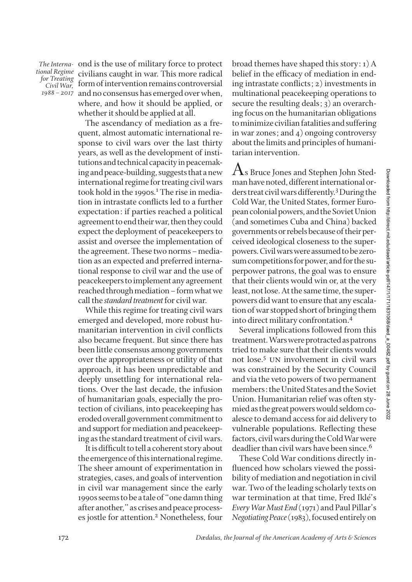*for Treating Civil War,* 

*The Interna-*ond is the use of military force to protect *tional Regime*  civilians caught in war. This more radical *1988–2017* and no consensus has emerged over when, form of intervention remains controversial where, and how it should be applied, or whether it should be applied at all.

> The ascendancy of mediation as a frequent, almost automatic international response to civil wars over the last thirty years, as well as the development of institutions and technical capacity in peacemaking and peace-building, suggests that a new international regime for treating civil wars took hold in the 1990s.<sup>1</sup> The rise in mediation in intrastate conflicts led to a further expectation: if parties reached a political agreement to end their war, then they could expect the deployment of peacekeepers to assist and oversee the implementation of the agreement. These two norms–mediation as an expected and preferred international response to civil war and the use of peacekeepers to implement any agreement reached through mediation–form what we call the *standard treatment* for civil war.

> While this regime for treating civil wars emerged and developed, more robust humanitarian intervention in civil conflicts also became frequent. But since there has been little consensus among governments over the appropriateness or utility of that approach, it has been unpredictable and deeply unsettling for international relations. Over the last decade, the infusion of humanitarian goals, especially the protection of civilians, into peacekeeping has eroded overall government commitment to and support for mediation and peacekeeping as the standard treatment of civil wars.

> It is difficult to tell a coherent story about the emergence of this international regime. The sheer amount of experimentation in strategies, cases, and goals of intervention in civil war management since the early 1990s seems to be a tale of "one damn thing after another," as crises and peace processes jostle for attention.<sup>2</sup> Nonetheless, four

broad themes have shaped this story: 1) A belief in the efficacy of mediation in ending intrastate conflicts; 2) investments in multinational peacekeeping operations to secure the resulting deals; 3) an overarching focus on the humanitarian obligations to minimize civilian fatalities and suffering in war zones; and 4) ongoing controversy about the limits and principles of humanitarian intervention.

 $A$ s Bruce Jones and Stephen John Stedman have noted, different international orders treat civil wars differently.3 During the Cold War, the United States, former European colonial powers, and the Soviet Union (and sometimes Cuba and China) backed governments or rebels because of their perceived ideological closeness to the superpowers. Civil wars were assumed to be zerosum competitions for power, and for the superpower patrons, the goal was to ensure that their clients would win or, at the very least, not lose. At the same time, the superpowers did want to ensure that any escalation of war stopped short of bringing them into direct military confrontation.4

Several implications followed from this treatment. Wars were protracted as patrons tried to make sure that their clients would not lose.5 un involvement in civil wars was constrained by the Security Council and via the veto powers of two permanent members: the United States and the Soviet Union. Humanitarian relief was often stymied as the great powers would seldom coalesce to demand access for aid delivery to vulnerable populations. Reflecting these factors, civil wars during the Cold War were deadlier than civil wars have been since.<sup>6</sup>

These Cold War conditions directly influenced how scholars viewed the possibility of mediation and negotiation in civil war. Two of the leading scholarly texts on war termination at that time, Fred Iklé's *Every War Must End* (1971) and Paul Pillar's *Negotiating Peace* (1983), focused entirely on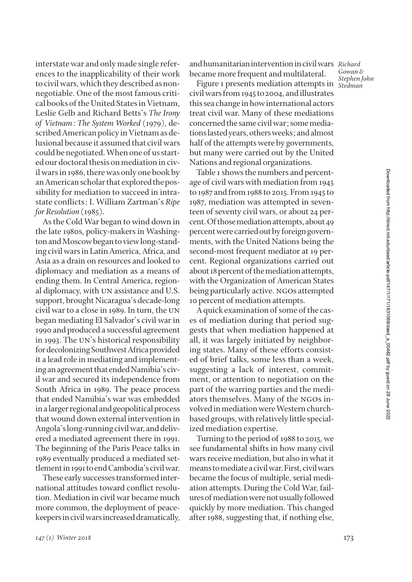*Gowan & Stephen John Stedman*

interstate war and only made single references to the inapplicability of their work to civil wars, which they described as nonnegotiable. One of the most famous critical books of the United States in Vietnam, Leslie Gelb and Richard Betts's *The Irony of Vietnam: The System Worked* (1979), described American policy in Vietnam as delusional because it assumed that civil wars could be negotiated. When one of us started our doctoral thesis on mediation in civil wars in 1986, there was only one book by an American scholar that explored the possibility for mediation to succeed in intrastate conflicts: I. William Zartman's *Ripe for Resolution* (1985).

As the Cold War began to wind down in the late 1980s, policy-makers in Washington and Moscow began to view long-standing civil wars in Latin America, Africa, and Asia as a drain on resources and looked to diplomacy and mediation as a means of ending them. In Central America, regional diplomacy, with un assistance and U.S. support, brought Nicaragua's decade-long civil war to a close in 1989. In turn, the un began mediating El Salvador's civil war in 1990 and produced a successful agreement in 1993. The un's historical responsibility for decolonizing Southwest Africa provided it a lead role in mediating and implementing an agreement that ended Namibia's civil war and secured its independence from South Africa in 1989. The peace process that ended Namibia's war was embedded in a larger regional and geopolitical process that wound down external intervention in Angola's long-running civil war, and delivered a mediated agreement there in 1991. The beginning of the Paris Peace talks in 1989 eventually produced a mediated settlement in 1991 to end Cambodia's civil war.

These early successes transformed international attitudes toward conflict resolution. Mediation in civil war became much more common, the deployment of peacekeepers in civil wars increased dramatically,

and humanitarian intervention in civil wars Richard became more frequent and multilateral.

Figure 1 presents mediation attempts in civil wars from 1945 to 2004, and illustrates this sea change in how international actors treat civil war. Many of these mediations concerned the same civil war; some mediations lasted years, others weeks; and almost half of the attempts were by governments, but many were carried out by the United Nations and regional organizations.

Table 1 shows the numbers and percentage of civil wars with mediation from 1945 to 1987 and from 1988 to 2015. From 1945 to 1987, mediation was attempted in seventeen of seventy civil wars, or about 24 percent. Of those mediation attempts, about 49 percent were carried out by foreign governments, with the United Nations being the second-most frequent mediator at 19 percent. Regional organizations carried out about 18 percent of the mediation attempts, with the Organization of American States being particularly active. ngos attempted 10 percent of mediation attempts.

A quick examination of some of the cases of mediation during that period suggests that when mediation happened at all, it was largely initiated by neighboring states. Many of these efforts consisted of brief talks, some less than a week, suggesting a lack of interest, commitment, or attention to negotiation on the part of the warring parties and the mediators themselves. Many of the ngos involved in mediation were Western churchbased groups, with relatively little specialized mediation expertise.

Turning to the period of 1988 to 2015, we see fundamental shifts in how many civil wars receive mediation, but also in what it means to mediate a civil war. First, civil wars became the focus of multiple, serial mediation attempts. During the Cold War, failures of mediation were not usually followed quickly by more mediation. This changed after 1988, suggesting that, if nothing else,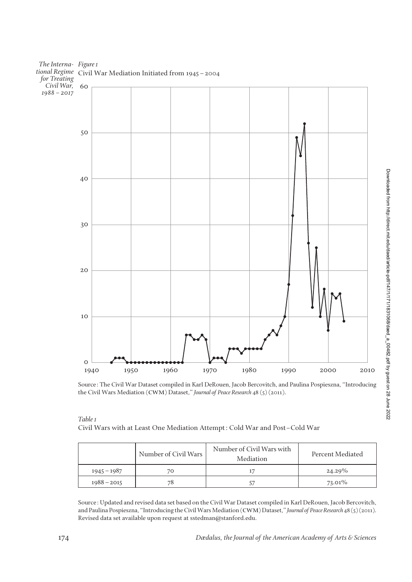

Source: The Civil War Dataset compiled in Karl DeRouen, Jacob Bercovitch, and Paulina Pospieszna, "Introducing the Civil Wars Mediation (cwm) Dataset," *Journal of Peace Research* 48 (5) (2011).

| Table 1                                                                    |  |
|----------------------------------------------------------------------------|--|
| Civil Wars with at Least One Mediation Attempt: Cold War and Post-Cold War |  |

|               | Number of Civil Wars | Number of Civil Wars with<br>Mediation | Percent Mediated |
|---------------|----------------------|----------------------------------------|------------------|
| $1945 - 1987$ | 70                   |                                        | $24.29\%$        |
| $1988 - 2015$ | 78                   |                                        | 73.01%           |

Source: Updated and revised data set based on the Civil War Dataset compiled in Karl DeRouen, Jacob Bercovitch, and Paulina Pospieszna, "Introducing the Civil Wars Mediation (cwm) Dataset," *Journal of Peace Research* 48 (5) (2011). Revised data set available upon request at sstedman@stanford.edu.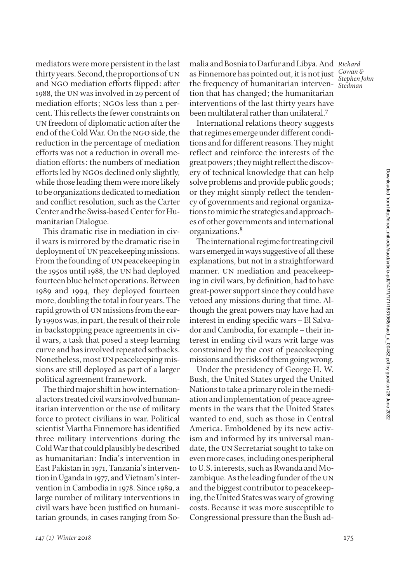mediators were more persistent in the last thirty years. Second, the proportions of un and NGO mediation efforts flipped: after 1988, the un was involved in 29 percent of mediation efforts; ngos less than 2 percent. This reflects the fewer constraints on un freedom of diplomatic action after the end of the Cold War. On the ngo side, the reduction in the percentage of mediation efforts was not a reduction in overall mediation efforts: the numbers of mediation efforts led by ngos declined only slightly, while those leading them were more likely to be organizations dedicated to mediation and conflict resolution, such as the Carter Center and the Swiss-based Center for Humanitarian Dialogue.

This dramatic rise in mediation in civil wars is mirrored by the dramatic rise in deployment of un peacekeeping missions. From the founding of un peacekeeping in the 1950s until 1988, the un had deployed fourteen blue helmet operations. Between 1989 and 1994, they deployed fourteen more, doubling the total in four years. The rapid growth of un missions from the early 1990s was, in part, the result of their role in backstopping peace agreements in civil wars, a task that posed a steep learning curve and has involved repeated setbacks. Nonetheless, most un peacekeeping missions are still deployed as part of a larger political agreement framework.

The third major shift in how international actors treated civil wars involved humanitarian intervention or the use of military force to protect civilians in war. Political scientist Martha Finnemore has identified three military interventions during the Cold War that could plausibly be described as humanitarian: India's intervention in East Pakistan in 1971, Tanzania's intervention in Uganda in 1977, and Vietnam's intervention in Cambodia in 1978. Since 1989, a large number of military interventions in civil wars have been justified on humanitarian grounds, in cases ranging from So-

*Richard*  malia and Bosnia to Darfur and Libya. And *Gowan &*  as Finnemore has pointed out, it is not just the frequency of humanitarian interven- Stedman tion that has changed; the humanitarian interventions of the last thirty years have been multilateral rather than unilateral.7

International relations theory suggests that regimes emerge under different conditions and for different reasons. They might reflect and reinforce the interests of the great powers; they might reflect the discovery of technical knowledge that can help solve problems and provide public goods; or they might simply reflect the tendency of governments and regional organizations to mimic the strategies and approaches of other governments and international organizations.8

The international regime for treating civil wars emerged in ways suggestive of all these explanations, but not in a straightforward manner. un mediation and peacekeeping in civil wars, by definition, had to have great-power support since they could have vetoed any missions during that time. Although the great powers may have had an interest in ending specific wars–El Salvador and Cambodia, for example–their interest in ending civil wars writ large was constrained by the cost of peacekeeping missions and the risks of them going wrong.

Under the presidency of George H. W. Bush, the United States urged the United Nations to take a primary role in the mediation and implementation of peace agreements in the wars that the United States wanted to end, such as those in Central America. Emboldened by its new activism and informed by its universal mandate, the un Secretariat sought to take on even more cases, including ones peripheral to U.S. interests, such as Rwanda and Mozambique. As the leading funder of the un and the biggest contributor to peacekeeping, the United States was wary of growing costs. Because it was more susceptible to Congressional pressure than the Bush ad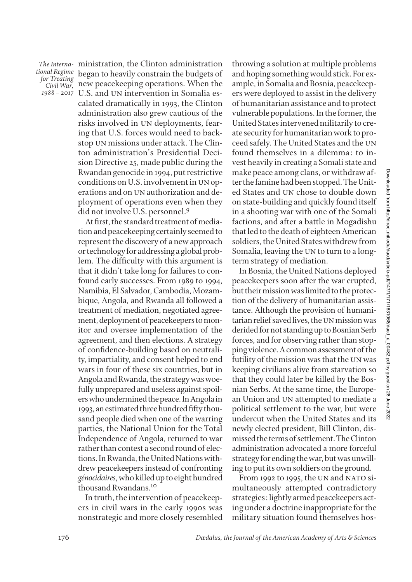*tional Regime for Treating Civil War,* 

*The Interna-*ministration, the Clinton administration *1988–2017* U.S. and un intervention in Somalia esbegan to heavily constrain the budgets of new peacekeeping operations. When the calated dramatically in 1993, the Clinton administration also grew cautious of the risks involved in un deployments, fearing that U.S. forces would need to backstop un missions under attack. The Clinton administration's Presidential Decision Directive 25, made public during the Rwandan genocide in 1994, put restrictive conditions on U.S. involvement in un operations and on un authorization and deployment of operations even when they did not involve U.S. personnel.9

> At first, the standard treatment of mediation and peacekeeping certainly seemed to represent the discovery of a new approach or technology for addressing a global problem. The difficulty with this argument is that it didn't take long for failures to confound early successes. From 1989 to 1994, Namibia, El Salvador, Cambodia, Mozambique, Angola, and Rwanda all followed a treatment of mediation, negotiated agreement, deployment of peacekeepers to monitor and oversee implementation of the agreement, and then elections. A strategy of confidence-building based on neutrality, impartiality, and consent helped to end wars in four of these six countries, but in Angola and Rwanda, the strategy was woefully unprepared and useless against spoilers who undermined the peace. In Angola in 1993, an estimated three hundred fifty thousand people died when one of the warring parties, the National Union for the Total Independence of Angola, returned to war rather than contest a second round of elections. In Rwanda, the United Nations withdrew peacekeepers instead of confronting *génocidaires*, who killed up to eight hundred thousand Rwandans.10

> In truth, the intervention of peacekeepers in civil wars in the early 1990s was nonstrategic and more closely resembled

throwing a solution at multiple problems and hoping something would stick. For example, in Somalia and Bosnia, peacekeepers were deployed to assist in the delivery of humanitarian assistance and to protect vulnerable populations. In the former, the United States intervened militarily to create security for humanitarian work to proceed safely. The United States and the un found themselves in a dilemma: to invest heavily in creating a Somali state and make peace among clans, or withdraw after the famine had been stopped. The United States and un chose to double down on state-building and quickly found itself in a shooting war with one of the Somali factions, and after a battle in Mogadishu that led to the death of eighteen American soldiers, the United States withdrew from Somalia, leaving the UN to turn to a longterm strategy of mediation.

In Bosnia, the United Nations deployed peacekeepers soon after the war erupted, but their mission was limited to the protection of the delivery of humanitarian assistance. Although the provision of humanitarian relief saved lives, the un mission was derided for not standing up to Bosnian Serb forces, and for observing rather than stopping violence. A common assessment of the futility of the mission was that the UN was keeping civilians alive from starvation so that they could later be killed by the Bosnian Serbs. At the same time, the European Union and un attempted to mediate a political settlement to the war, but were undercut when the United States and its newly elected president, Bill Clinton, dismissed the terms of settlement. The Clinton administration advocated a more forceful strategy for ending the war, but was unwilling to put its own soldiers on the ground.

From 1992 to 1995, the UN and NATO simultaneously attempted contradictory strategies: lightly armed peacekeepers acting under a doctrine inappropriate for the military situation found themselves hos-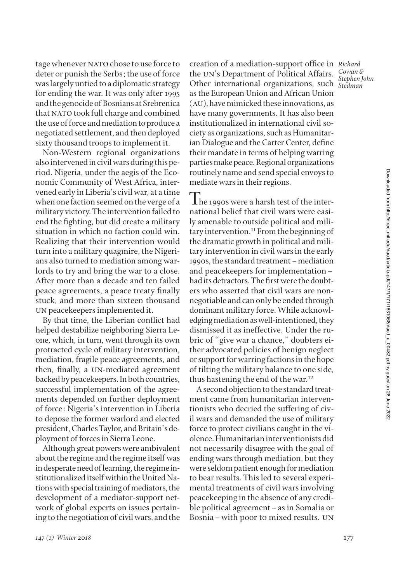Downloaded from http://direct.mit.edu/daed/article-pdf/147/1171/1831068/daed\_a\_00482.pdf by guest on 28 June 2022 Downloaded from http://direct.mit.edu/daed/article-pdf/147/1/171/1831068/daed\_a\_00482.pdf by guest on 28 June 2022

tage whenever NATO chose to use force to deter or punish the Serbs; the use of force was largely untied to a diplomatic strategy for ending the war. It was only after 1995 and the genocide of Bosnians at Srebrenica that NATO took full charge and combined the use of force and mediation to produce a negotiated settlement, and then deployed sixty thousand troops to implement it.

Non-Western regional organizations also intervened in civil wars during this period. Nigeria, under the aegis of the Economic Community of West Africa, intervened early in Liberia's civil war, at a time when one faction seemed on the verge of a military victory. The intervention failed to end the fighting, but did create a military situation in which no faction could win. Realizing that their intervention would turn into a military quagmire, the Nigerians also turned to mediation among warlords to try and bring the war to a close. After more than a decade and ten failed peace agreements, a peace treaty finally stuck, and more than sixteen thousand un peacekeepers implemented it.

By that time, the Liberian conflict had helped destabilize neighboring Sierra Leone, which, in turn, went through its own protracted cycle of military intervention, mediation, fragile peace agreements, and then, finally, a un-mediated agreement backed by peacekeepers. In both countries, successful implementation of the agreements depended on further deployment of force: Nigeria's intervention in Liberia to depose the former warlord and elected president, Charles Taylor, and Britain's deployment of forces in Sierra Leone.

Although great powers were ambivalent about the regime and the regime itself was in desperate need of learning, the regime institutionalized itself within the United Nations with special training of mediators, the development of a mediator-support network of global experts on issues pertaining to the negotiation of civil wars, and the

creation of a mediation-support office in Richard the UN's Department of Political Affairs. Gowan & Other international organizations, such *Stedman* as the European Union and African Union (au), have mimicked these innovations, as have many governments. It has also been institutionalized in international civil society as organizations, such as Humanitarian Dialogue and the Carter Center, define their mandate in terms of helping warring parties make peace. Regional organizations routinely name and send special envoys to mediate wars in their regions.

The 1990s were a harsh test of the international belief that civil wars were easily amenable to outside political and military intervention.<sup>11</sup> From the beginning of the dramatic growth in political and military intervention in civil wars in the early 1990s, the standard treatment–mediation and peacekeepers for implementation– had its detractors. The first were the doubters who asserted that civil wars are nonnegotiable and can only be ended through dominant military force. While acknowledging mediation as well-intentioned, they dismissed it as ineffective. Under the rubric of "give war a chance," doubters either advocated policies of benign neglect or support for warring factions in the hope of tilting the military balance to one side, thus hastening the end of the war.12

A second objection to the standard treatment came from humanitarian interventionists who decried the suffering of civil wars and demanded the use of military force to protect civilians caught in the violence. Humanitarian interventionists did not necessarily disagree with the goal of ending wars through mediation, but they were seldom patient enough for mediation to bear results. This led to several experimental treatments of civil wars involving peacekeeping in the absence of any credible political agreement–as in Somalia or Bosnia–with poor to mixed results. un

*Stephen John*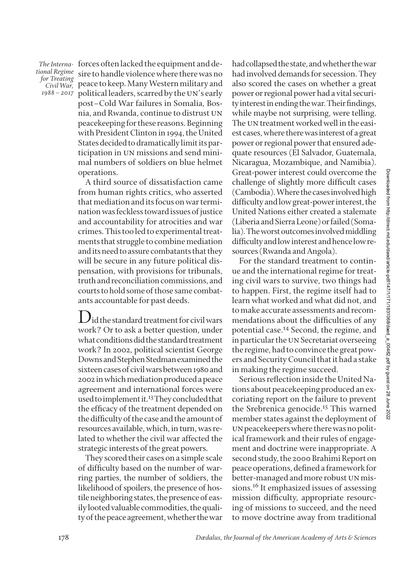*tional Regime for Treating Civil War, 1988–2017*

*The Interna-*forces often lacked the equipment and desire to handle violence where there was no peace to keep. Many Western military and political leaders, scarred by the un's early post–Cold War failures in Somalia, Bosnia, and Rwanda, continue to distrust un peacekeeping for these reasons. Beginning with President Clinton in 1994, the United States decided to dramatically limit its participation in un missions and send minimal numbers of soldiers on blue helmet operations.

> A third source of dissatisfaction came from human rights critics, who asserted that mediation and its focus on war termination was feckless toward issues of justice and accountability for atrocities and war crimes. This too led to experimental treatments that struggle to combine mediation and its need to assure combatants that they will be secure in any future political dispensation, with provisions for tribunals, truth and reconciliation commissions, and courts to hold some of those same combatants accountable for past deeds.

> $\bm{D}$ id the standard treatment for civil wars work? Or to ask a better question, under what conditions did the standard treatment work? In 2002, political scientist George Downs and Stephen Stedman examined the sixteen cases of civil wars between 1980 and 2002 in which mediation produced a peace agreement and international forces were used to implement it.<sup>13</sup> They concluded that the efficacy of the treatment depended on the difficulty of the case and the amount of resources available, which, in turn, was related to whether the civil war affected the strategic interests of the great powers.

> They scored their cases on a simple scale of difficulty based on the number of warring parties, the number of soldiers, the likelihood of spoilers, the presence of hostile neighboring states, the presence of easily looted valuable commodities, the quality of the peace agreement, whether the war

had collapsed the state, and whether the war had involved demands for secession. They also scored the cases on whether a great power or regional power had a vital security interest in ending the war. Their findings, while maybe not surprising, were telling. The UN treatment worked well in the easiest cases, where there was interest of a great power or regional power that ensured adequate resources (El Salvador, Guatemala, Nicaragua, Mozambique, and Namibia). Great-power interest could overcome the challenge of slightly more difficult cases (Cambodia). Where the cases involved high difficulty and low great-power interest, the United Nations either created a stalemate (Liberia and Sierra Leone) or failed (Somalia). The worst outcomes involved middling difficulty and low interest and hence low resources (Rwanda and Angola).

For the standard treatment to continue and the international regime for treating civil wars to survive, two things had to happen. First, the regime itself had to learn what worked and what did not, and to make accurate assessments and recommendations about the difficulties of any potential case.14 Second, the regime, and in particular the un Secretariat overseeing the regime, had to convince the great powers and Security Council that it had a stake in making the regime succeed.

Serious reflection inside the United Nations about peacekeeping produced an excoriating report on the failure to prevent the Srebrenica genocide.15 This warned member states against the deployment of un peacekeepers where there was no political framework and their rules of engagement and doctrine were inappropriate. A second study, the 2000 Brahimi Report on peace operations, defined a framework for better-managed and more robust un missions.16 It emphasized issues of assessing mission difficulty, appropriate resourcing of missions to succeed, and the need to move doctrine away from traditional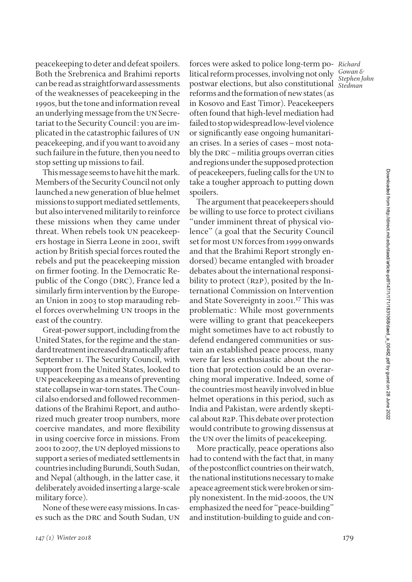peacekeeping to deter and defeat spoilers. Both the Srebrenica and Brahimi reports can be read as straightforward assessments of the weaknesses of peacekeeping in the 1990s, but the tone and information reveal an underlying message from the un Secretariat to the Security Council: you are implicated in the catastrophic failures of un peacekeeping, and if you want to avoid any such failure in the future, then you need to stop setting up missions to fail.

This message seems to have hit the mark. Members of the Security Council not only launched a new generation of blue helmet missions to support mediated settlements, but also intervened militarily to reinforce these missions when they came under threat. When rebels took un peacekeepers hostage in Sierra Leone in 2001, swift action by British special forces routed the rebels and put the peacekeeping mission on firmer footing. In the Democratic Republic of the Congo (DRC), France led a similarly firm intervention by the European Union in 2003 to stop marauding rebel forces overwhelming un troops in the east of the country.

Great-power support, including from the United States, for the regime and the standard treatment increased dramatically after September 11. The Security Council, with support from the United States, looked to un peacekeeping as a means of preventing state collapse in war-torn states. The Council also endorsed and followed recommendations of the Brahimi Report, and authorized much greater troop numbers, more coercive mandates, and more flexibility in using coercive force in missions. From 2001 to 2007, the un deployed missions to support a series of mediated settlements in countries including Burundi, South Sudan, and Nepal (although, in the latter case, it deliberately avoided inserting a large-scale military force).

None of these were easy missions. In cases such as the DRC and South Sudan, UN

litical reform processes, involving not only *Gowan & Stedman* postwar elections, but also constitutional reforms and the formation of new states (as in Kosovo and East Timor). Peacekeepers often found that high-level mediation had failed to stop widespread low-level violence or significantly ease ongoing humanitarian crises. In a series of cases–most notably the DRC – militia groups overran cities and regions under the supposed protection of peacekeepers, fueling calls for the un to take a tougher approach to putting down spoilers.

The argument that peacekeepers should be willing to use force to protect civilians "under imminent threat of physical violence" (a goal that the Security Council set for most un forces from 1999 onwards and that the Brahimi Report strongly endorsed) became entangled with broader debates about the international responsibility to protect  $(R2P)$ , posited by the International Commission on Intervention and State Sovereignty in 2001.17 This was problematic: While most governments were willing to grant that peacekeepers might sometimes have to act robustly to defend endangered communities or sustain an established peace process, many were far less enthusiastic about the notion that protection could be an overarching moral imperative. Indeed, some of the countries most heavily involved in blue helmet operations in this period, such as India and Pakistan, were ardently skeptical about R2P. This debate over protection would contribute to growing dissensus at the un over the limits of peacekeeping.

More practically, peace operations also had to contend with the fact that, in many of the postconflict countries on their watch, the national institutions necessary to make a peace agreement stick were broken or simply nonexistent. In the mid-2000s, the un emphasized the need for "peace-building" and institution-building to guide and con-

forces were asked to police long-term po- Richard *Stephen John*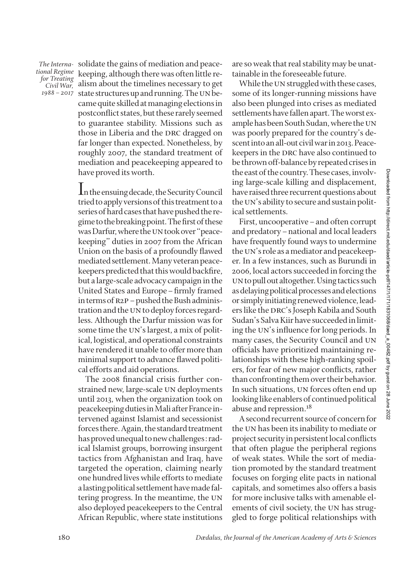*tional Regime for Treating Civil War, 1988–2017*

*The Interna-*solidate the gains of mediation and peacekeeping, although there was often little realism about the timelines necessary to get state structures up and running. The un became quite skilled at managing elections in postconflict states, but these rarely seemed to guarantee stability. Missions such as those in Liberia and the DRC dragged on far longer than expected. Nonetheless, by roughly 2007, the standard treatment of mediation and peacekeeping appeared to have proved its worth.

> In the ensuing decade, the Security Council tried to apply versions of this treatment to a series of hard cases that have pushed the regime to the breaking point. The first of these was Darfur, where the un took over "peacekeeping" duties in 2007 from the African Union on the basis of a profoundly flawed mediated settlement. Many veteran peacekeepers predicted that this would backfire, but a large-scale advocacy campaign in the United States and Europe–firmly framed in terms of R2P – pushed the Bush administration and the un to deploy forces regardless. Although the Darfur mission was for some time the un's largest, a mix of political, logistical, and operational constraints have rendered it unable to offer more than minimal support to advance flawed political efforts and aid operations.

> The 2008 financial crisis further constrained new, large-scale un deployments until 2013, when the organization took on peacekeeping duties in Mali after France intervened against Islamist and secessionist forces there. Again, the standard treatment has proved unequal to new challenges: radical Islamist groups, borrowing insurgent tactics from Afghanistan and Iraq, have targeted the operation, claiming nearly one hundred lives while efforts to mediate a lasting political settlement have made faltering progress. In the meantime, the un also deployed peacekeepers to the Central African Republic, where state institutions

are so weak that real stability may be unattainable in the foreseeable future.

While the UN struggled with these cases, some of its longer-running missions have also been plunged into crises as mediated settlements have fallen apart. The worst example has been South Sudan, where the un was poorly prepared for the country's descent into an all-out civil war in 2013. Peacekeepers in the DRC have also continued to be thrown off-balance by repeated crises in the east of the country. These cases, involving large-scale killing and displacement, have raised three recurrent questions about the un's ability to secure and sustain political settlements.

First, uncooperative–and often corrupt and predatory–national and local leaders have frequently found ways to undermine the un's role as a mediator and peacekeeper. In a few instances, such as Burundi in 2006, local actors succeeded in forcing the un to pull out altogether. Using tactics such as delaying political processes and elections or simply initiating renewed violence, leaders like the DRC's Joseph Kabila and South Sudan's Salva Kiir have succeeded in limiting the un's influence for long periods. In many cases, the Security Council and un officials have prioritized maintaining relationships with these high-ranking spoilers, for fear of new major conflicts, rather than confronting them over their behavior. In such situations, un forces often end up looking like enablers of continued political abuse and repression.18

A second recurrent source of concern for the un has been its inability to mediate or project security in persistent local conflicts that often plague the peripheral regions of weak states. While the sort of mediation promoted by the standard treatment focuses on forging elite pacts in national capitals, and sometimes also offers a basis for more inclusive talks with amenable elements of civil society, the un has struggled to forge political relationships with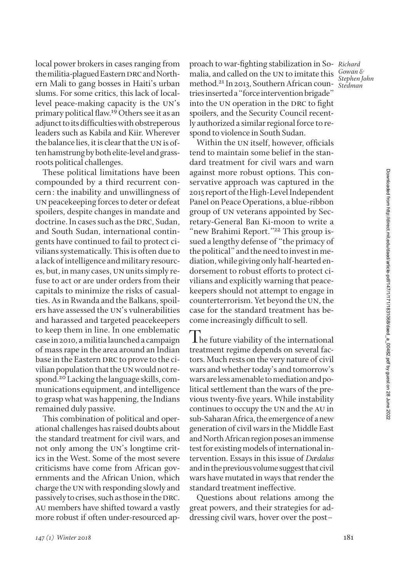Downloaded from http://direct.mit.edu/daed/article-pdf/147/171/1831068/daed\_a\_00482.pdf by guest on 28 June 2022 Downloaded from http://direct.mit.edu/daed/article-pdf/147/1/171/1831068/daed\_a\_00482.pdf by guest on 28 June 2022

*Stephen John* 

local power brokers in cases ranging from the militia-plagued Eastern DRC and Northern Mali to gang bosses in Haiti's urban slums. For some critics, this lack of locallevel peace-making capacity is the un's primary political flaw.19 Others see it as an adjunct to its difficulties with obstreperous leaders such as Kabila and Kiir. Wherever the balance lies, it is clear that the un is often hamstrung by both elite-level and grassroots political challenges.

These political limitations have been compounded by a third recurrent concern: the inability and unwillingness of un peacekeeping forces to deter or defeat spoilers, despite changes in mandate and doctrine. In cases such as the DRC, Sudan, and South Sudan, international contingents have continued to fail to protect civilians systematically. This is often due to a lack of intelligence and military resources, but, in many cases, un units simply refuse to act or are under orders from their capitals to minimize the risks of casualties. As in Rwanda and the Balkans, spoilers have assessed the un's vulnerabilities and harassed and targeted peacekeepers to keep them in line. In one emblematic case in 2010, a militia launched a campaign of mass rape in the area around an Indian base in the Eastern DRC to prove to the civilian population that the un would not respond.20 Lacking the language skills, communications equipment, and intelligence to grasp what was happening, the Indians remained duly passive.

This combination of political and operational challenges has raised doubts about the standard treatment for civil wars, and not only among the un's longtime critics in the West. Some of the most severe criticisms have come from African governments and the African Union, which charge the un with responding slowly and passively to crises, such as those in the DRC. au members have shifted toward a vastly more robust if often under-resourced ap-

proach to war-fighting stabilization in So- Richard malia, and called on the UN to imitate this *Gowan & Stedman* method.21 In 2013, Southern African countries inserted a "force intervention brigade" into the UN operation in the DRC to fight spoilers, and the Security Council recently authorized a similar regional force to respond to violence in South Sudan.

Within the un itself, however, officials tend to maintain some belief in the standard treatment for civil wars and warn against more robust options. This conservative approach was captured in the 2015 report of the High-Level Independent Panel on Peace Operations, a blue-ribbon group of un veterans appointed by Secretary-General Ban Ki-moon to write a "new Brahimi Report."<sup>22</sup> This group issued a lengthy defense of "the primacy of the political" and the need to invest in mediation, while giving only half-hearted endorsement to robust efforts to protect civilians and explicitly warning that peacekeepers should not attempt to engage in counterterrorism. Yet beyond the un, the case for the standard treatment has become increasingly difficult to sell.

 $\mathbf I$  he future viability of the international treatment regime depends on several factors. Much rests on the very nature of civil wars and whether today's and tomorrow's wars are less amenable to mediation and political settlement than the wars of the previous twenty-five years. While instability continues to occupy the UN and the AU in sub-Saharan Africa, the emergence of a new generation of civil wars in the Middle East and North African region poses an immense test for existing models of international intervention. Essays in this issue of *Dædalus* and in the previous volume suggest that civil wars have mutated in ways that render the standard treatment ineffective.

Questions about relations among the great powers, and their strategies for addressing civil wars, hover over the post–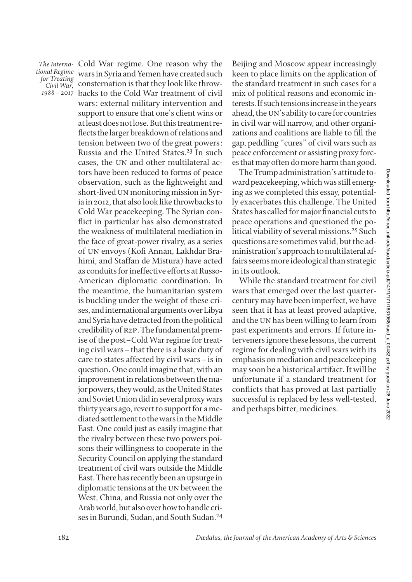*tional Regime for Treating Civil War,* 

*The Interna-*Cold War regime. One reason why the *1988–2017* backs to the Cold War treatment of civil wars in Syria and Yemen have created such consternation is that they look like throwwars: external military intervention and support to ensure that one's client wins or at least does not lose. But this treatment reflects the larger breakdown of relations and tension between two of the great powers: Russia and the United States.23 In such cases, the un and other multilateral actors have been reduced to forms of peace observation, such as the lightweight and short-lived un monitoring mission in Syria in 2012, that also look like throwbacks to Cold War peacekeeping. The Syrian conflict in particular has also demonstrated the weakness of multilateral mediation in the face of great-power rivalry, as a series of un envoys (Kofi Annan, Lakhdar Brahimi, and Staffan de Mistura) have acted as conduits for ineffective efforts at Russo-American diplomatic coordination. In the meantime, the humanitarian system is buckling under the weight of these crises, and international arguments over Libya and Syria have detracted from the political credibility of r2p. The fundamental premise of the post–Cold War regime for treating civil wars–that there is a basic duty of care to states affected by civil wars–is in question. One could imagine that, with an improvement in relations between the major powers, they would, as the United States and Soviet Union did in several proxy wars thirty years ago, revert to support for a mediated settlement to the wars in the Middle East. One could just as easily imagine that the rivalry between these two powers poisons their willingness to cooperate in the Security Council on applying the standard treatment of civil wars outside the Middle East. There has recently been an upsurge in diplomatic tensions at the un between the West, China, and Russia not only over the Arab world, but also over how to handle crises in Burundi, Sudan, and South Sudan.<sup>24</sup>

Beijing and Moscow appear increasingly keen to place limits on the application of the standard treatment in such cases for a mix of political reasons and economic interests. If such tensions increase in the years ahead, the un's ability to care for countries in civil war will narrow, and other organizations and coalitions are liable to fill the gap, peddling "cures" of civil wars such as peace enforcement or assisting proxy forces that may often do more harm than good.

The Trump administration's attitude toward peacekeeping, which was still emerging as we completed this essay, potentially exacerbates this challenge. The United States has called for major financial cuts to peace operations and questioned the political viability of several missions.<sup>25</sup> Such questions are sometimes valid, but the administration's approach to multilateral affairs seems more ideological than strategic in its outlook.

While the standard treatment for civil wars that emerged over the last quartercentury may have been imperfect, we have seen that it has at least proved adaptive, and the un has been willing to learn from past experiments and errors. If future interveners ignore these lessons, the current regime for dealing with civil wars with its emphasis on mediation and peacekeeping may soon be a historical artifact. It will be unfortunate if a standard treatment for conflicts that has proved at last partially successful is replaced by less well-tested, and perhaps bitter, medicines.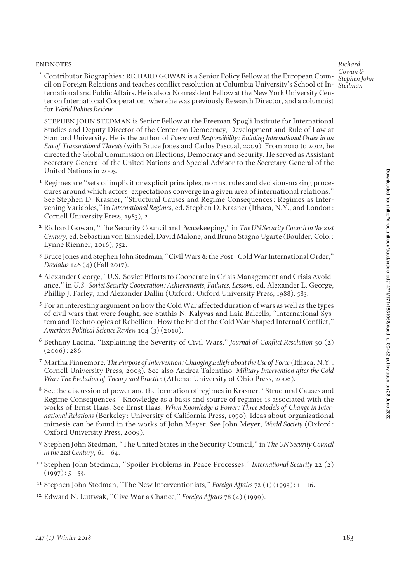## **ENDNOTES**

*Stedman* cil on Foreign Relations and teaches conflict resolution at Columbia University's School of In-Contributor Biographies: RICHARD GOWAN is a Senior Policy Fellow at the European Counternational and Public Affairs. He is also a Nonresident Fellow at the New York University Center on International Cooperation, where he was previously Research Director, and a columnist for *World Politics Review*.

 STEPHEN JOHN STEDMAN is Senior Fellow at the Freeman Spogli Institute for International Studies and Deputy Director of the Center on Democracy, Development and Rule of Law at Stanford University. He is the author of *Power and Responsibility: Building International Order in an Era of Transnational Threats* (with Bruce Jones and Carlos Pascual, 2009). From 2010 to 2012, he directed the Global Commission on Elections, Democracy and Security. He served as Assistant Secretary-General of the United Nations and Special Advisor to the Secretary-General of the United Nations in 2005.

- $<sup>1</sup>$  Regimes are "sets of implicit or explicit principles, norms, rules and decision-making proce-</sup> dures around which actors' expectations converge in a given area of international relations." See Stephen D. Krasner, "Structural Causes and Regime Consequences: Regimes as Intervening Variables," in *International Regimes*, ed. Stephen D. Krasner (Ithaca, N.Y., and London: Cornell University Press, 1983), 2.
- <sup>2</sup> Richard Gowan, "The Security Council and Peacekeeping," in *The UN Security Council in the 21st Century*, ed. Sebastian von Einsiedel, David Malone, and Bruno Stagno Ugarte (Boulder, Colo.: Lynne Rienner, 2016), 752.
- <sup>3</sup> Bruce Jones and Stephen John Stedman, "Civil Wars & the Post–Cold War International Order," *Dædalus* 146 (4) (Fall 2017).
- <sup>4</sup> Alexander George, "U.S.-Soviet Efforts to Cooperate in Crisis Management and Crisis Avoidance," in *U.S.-Soviet Security Cooperation: Achievements, Failures, Lessons*, ed. Alexander L. George, Phillip J. Farley, and Alexander Dallin (Oxford: Oxford University Press, 1988), 583.
- <sup>5</sup> For an interesting argument on how the Cold War affected duration of wars as well as the types of civil wars that were fought, see Stathis N. Kalyvas and Laia Balcells, "International System and Technologies of Rebellion: How the End of the Cold War Shaped Internal Conflict," *American Political Science Review* 104 (3) (2010).
- <sup>6</sup> Bethany Lacina, "Explaining the Severity of Civil Wars," *Journal of Conflict Resolution* 50 (2)  $(2006): 286.$
- <sup>7</sup> Martha Finnemore, *The Purpose of Intervention: Changing Beliefs about the Use of Force* (Ithaca, N.Y.: Cornell University Press, 2003). See also Andrea Talentino, *Military Intervention after the Cold War: The Evolution of Theory and Practice* (Athens: University of Ohio Press, 2006).
- <sup>8</sup> See the discussion of power and the formation of regimes in Krasner, "Structural Causes and Regime Consequences." Knowledge as a basis and source of regimes is associated with the works of Ernst Haas. See Ernst Haas, *When Knowledge is Power: Three Models of Change in International Relations* (Berkeley: University of California Press, 1990). Ideas about organizational mimesis can be found in the works of John Meyer. See John Meyer, *World Society* (Oxford: Oxford University Press, 2009).
- <sup>9</sup> Stephen John Stedman, "The United States in the Security Council," in *The UN Security Council in the 21st Century*, 61–64.
- <sup>10</sup> Stephen John Stedman, "Spoiler Problems in Peace Processes," *International Security* 22 (2)  $(1997): 5-53.$
- <sup>11</sup> Stephen John Stedman, "The New Interventionists," *Foreign Affairs* 72 (1) (1993): 1–16.
- <sup>12</sup> Edward N. Luttwak, "Give War a Chance," *Foreign Affairs* 78 (4) (1999).

*Richard Gowan & Stephen John*